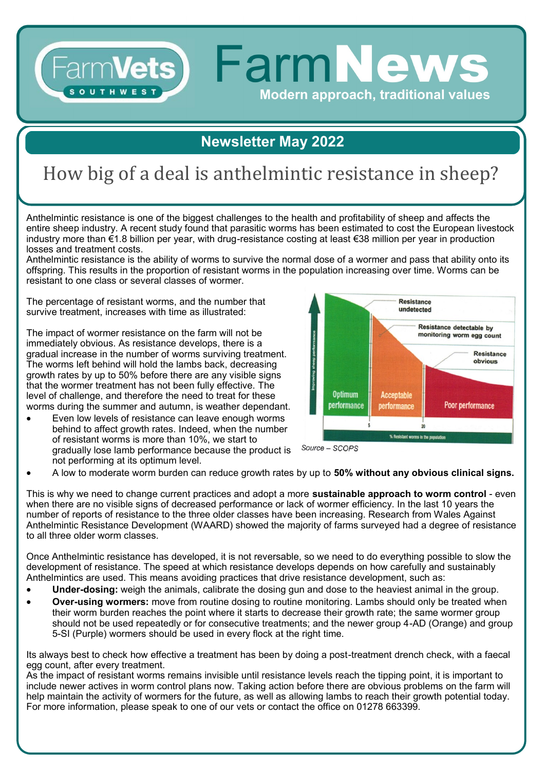#### **Newsletter May 2022**

Farm**Vets** Farm News

### How big of a deal is anthelmintic resistance in sheep?

Anthelmintic resistance is one of the biggest challenges to the health and profitability of sheep and affects the entire sheep industry. A recent study found that parasitic worms has been estimated to cost the European livestock industry more than €1.8 billion per year, with drug-resistance costing at least €38 million per year in production losses and treatment costs.

Anthelmintic resistance is the ability of worms to survive the normal dose of a wormer and pass that ability onto its offspring. This results in the proportion of resistant worms in the population increasing over time. Worms can be resistant to one class or several classes of wormer.

The percentage of resistant worms, and the number that survive treatment, increases with time as illustrated:

OUTHWEST

The impact of wormer resistance on the farm will not be immediately obvious. As resistance develops, there is a gradual increase in the number of worms surviving treatment. The worms left behind will hold the lambs back, decreasing growth rates by up to 50% before there are any visible signs that the wormer treatment has not been fully effective. The level of challenge, and therefore the need to treat for these worms during the summer and autumn, is weather dependant.

Even low levels of resistance can leave enough worms behind to affect growth rates. Indeed, when the number of resistant worms is more than 10%, we start to gradually lose lamb performance because the product is not performing at its optimum level.



Modern approach, traditional values

- Source SCOPS
- A low to moderate worm burden can reduce growth rates by up to **50% without any obvious clinical signs.**

This is why we need to change current practices and adopt a more **sustainable approach to worm control** - even when there are no visible signs of decreased performance or lack of wormer efficiency. In the last 10 years the number of reports of resistance to the three older classes have been increasing. Research from Wales Against Anthelmintic Resistance Development (WAARD) showed the majority of farms surveyed had a degree of resistance to all three older worm classes.

Once Anthelmintic resistance has developed, it is not reversable, so we need to do everything possible to slow the development of resistance. The speed at which resistance develops depends on how carefully and sustainably Anthelmintics are used. This means avoiding practices that drive resistance development, such as:

- **Under-dosing:** weigh the animals, calibrate the dosing gun and dose to the heaviest animal in the group.
- **Over-using wormers:** move from routine dosing to routine monitoring. Lambs should only be treated when their worm burden reaches the point where it starts to decrease their growth rate; the same wormer group should not be used repeatedly or for consecutive treatments; and the newer group 4-AD (Orange) and group 5-SI (Purple) wormers should be used in every flock at the right time.

Its always best to check how effective a treatment has been by doing a post-treatment drench check, with a faecal egg count, after every treatment.

As the impact of resistant worms remains invisible until resistance levels reach the tipping point, it is important to include newer actives in worm control plans now. Taking action before there are obvious problems on the farm will help maintain the activity of wormers for the future, as well as allowing lambs to reach their growth potential today. For more information, please speak to one of our vets or contact the office on 01278 663399.